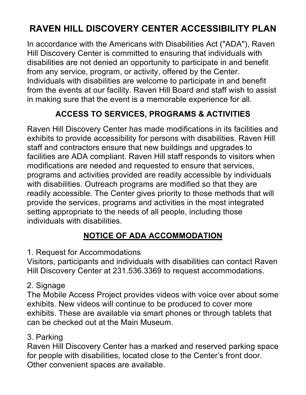# **RAVEN HILL DISCOVERY CENTER ACCESSIBILITY PLAN**

In accordance with the Americans with Disabilities Act ("ADA"), Raven Hill Discovery Center is committed to ensuring that individuals with disabilities are not denied an opportunity to participate in and benefit from any service, program, or activity, offered by the Center. Individuals with disabilities are welcome to participate in and benefit from the events at our facility. Raven Hill Board and staff wish to assist in making sure that the event is a memorable experience for all.

## **ACCESS TO SERVICES, PROGRAMS & ACTIVITIES**

Raven Hill Discovery Center has made modifications in its facilities and exhibits to provide accessibility for persons with disabilities. Raven Hill staff and contractors ensure that new buildings and upgrades to facilities are ADA compliant. Raven Hill staff responds to visitors when modifications are needed and requested to ensure that services, programs and activities provided are readily accessible by individuals with disabilities. Outreach programs are modified so that they are readily accessible. The Center gives priority to those methods that will provide the services, programs and activities in the most integrated setting appropriate to the needs of all people, including those individuals with disabilities.

## **NOTICE OF ADA ACCOMMODATION**

1. Request for Accommodations

Visitors, participants and individuals with disabilities can contact Raven Hill Discovery Center at 231.536.3369 to request accommodations.

#### 2. Signage

The Mobile Access Project provides videos with voice over about some exhibits. New videos will continue to be produced to cover more exhibits. These are available via smart phones or through tablets that can be checked out at the Main Museum.

#### 3. Parking

Raven Hill Discovery Center has a marked and reserved parking space for people with disabilities, located close to the Center's front door. Other convenient spaces are available.